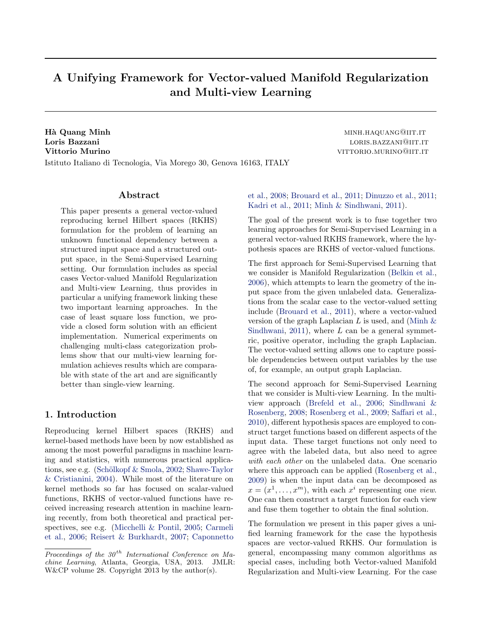# A Unifying Framework for Vector-valued Manifold Regularization and Multi-view Learning

Hà Quang Minh minister and the control of the minister of the minister and minister  $\text{minh}$ Loris Bazzani and a state of the state of the state of the state of the state of the state of the state of the state of the state of the state of the state of the state of the state of the state of the state of the state o **Vittorio Murino viene viene viene viene viene viene viene viene viene viene viene viene viene viene viene viene viene viene viene viene viene viene viene viene viene viene viene viene viene viene viene viene viene viene v** Istituto Italiano di Tecnologia, Via Morego 30, Genova 16163, ITALY

# Abstract

This paper presents a general vector-valued reproducing kernel Hilbert spaces (RKHS) formulation for the problem of learning an unknown functional dependency between a structured input space and a structured output space, in the Semi-Supervised Learning setting. Our formulation includes as special cases Vector-valued Manifold Regularization and Multi-view Learning, thus provides in particular a unifying framework linking these two important learning approaches. In the case of least square loss function, we provide a closed form solution with an efficient implementation. Numerical experiments on challenging multi-class categorization problems show that our multi-view learning formulation achieves results which are comparable with state of the art and are significantly better than single-view learning.

# 1. Introduction

Reproducing kernel Hilbert spaces (RKHS) and kernel-based methods have been by now established as among the most powerful paradigms in machine learning and statistics, with numerous practical applications, see e.g. (Schölkopf  $&$  Smola, [2002;](#page-8-0) [Shawe-Taylor](#page-8-0) [& Cristianini,](#page-8-0) [2004\)](#page-8-0). While most of the literature on kernel methods so far has focused on scalar-valued functions, RKHS of vector-valued functions have received increasing research attention in machine learning recently, from both theoretical and practical perspectives, see e.g. [\(Micchelli & Pontil,](#page-8-0) [2005;](#page-8-0) [Carmeli](#page-8-0) [et al.,](#page-8-0) [2006;](#page-8-0) [Reisert & Burkhardt,](#page-8-0) [2007;](#page-8-0) [Caponnetto](#page-8-0) [et al.,](#page-8-0) [2008;](#page-8-0) [Brouard et al.,](#page-8-0) [2011;](#page-8-0) [Dinuzzo et al.,](#page-8-0) [2011;](#page-8-0) [Kadri et al.,](#page-8-0) [2011;](#page-8-0) [Minh & Sindhwani,](#page-8-0) [2011\)](#page-8-0).

The goal of the present work is to fuse together two learning approaches for Semi-Supervised Learning in a general vector-valued RKHS framework, where the hypothesis spaces are RKHS of vector-valued functions.

The first approach for Semi-Supervised Learning that we consider is Manifold Regularization [\(Belkin et al.,](#page-8-0) [2006\)](#page-8-0), which attempts to learn the geometry of the input space from the given unlabeled data. Generalizations from the scalar case to the vector-valued setting include [\(Brouard et al.,](#page-8-0) [2011\)](#page-8-0), where a vector-valued version of the graph Laplacian L is used, and (Minh  $\&$ [Sindhwani,](#page-8-0) [2011\)](#page-8-0), where  $L$  can be a general symmetric, positive operator, including the graph Laplacian. The vector-valued setting allows one to capture possible dependencies between output variables by the use of, for example, an output graph Laplacian.

The second approach for Semi-Supervised Learning that we consider is Multi-view Learning. In the multiview approach [\(Brefeld et al.,](#page-8-0) [2006;](#page-8-0) [Sindhwani &](#page-8-0) [Rosenberg,](#page-8-0) [2008;](#page-8-0) [Rosenberg et al.,](#page-8-0) [2009;](#page-8-0) [Saffari et al.,](#page-8-0) [2010\)](#page-8-0), different hypothesis spaces are employed to construct target functions based on different aspects of the input data. These target functions not only need to agree with the labeled data, but also need to agree with each other on the unlabeled data. One scenario where this approach can be applied [\(Rosenberg et al.,](#page-8-0) [2009\)](#page-8-0) is when the input data can be decomposed as  $x = (x^1, \ldots, x^m)$ , with each  $x^i$  representing one view. One can then construct a target function for each view and fuse them together to obtain the final solution.

The formulation we present in this paper gives a unified learning framework for the case the hypothesis spaces are vector-valued RKHS. Our formulation is general, encompassing many common algorithms as special cases, including both Vector-valued Manifold Regularization and Multi-view Learning. For the case

Proceedings of the  $30<sup>th</sup>$  International Conference on Machine Learning, Atlanta, Georgia, USA, 2013. JMLR: W&CP volume 28. Copyright 2013 by the author(s).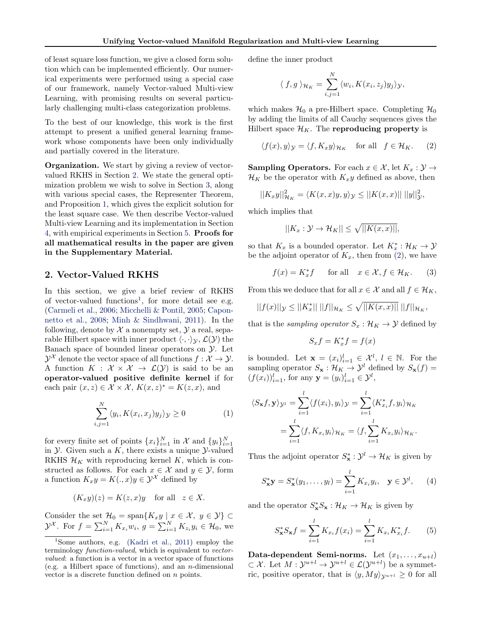of least square loss function, we give a closed form solution which can be implemented efficiently. Our numerical experiments were performed using a special case of our framework, namely Vector-valued Multi-view Learning, with promising results on several particularly challenging multi-class categorization problems.

To the best of our knowledge, this work is the first attempt to present a unified general learning framework whose components have been only individually and partially covered in the literature.

**Organization.** We start by giving a review of vectorvalued RKHS in Section 2. We state the general optimization problem we wish to solve in Section [3,](#page-2-0) along with various special cases, the Representer Theorem, and Proposition [1,](#page-2-0) which gives the explicit solution for the least square case. We then describe Vector-valued Multi-view Learning and its implementation in Section [4,](#page-4-0) with empirical experiments in Section [5.](#page-6-0) Proofs for all mathematical results in the paper are given in the Supplementary Material.

# 2. Vector-Valued RKHS

In this section, we give a brief review of RKHS of vector-valued functions<sup>1</sup>, for more detail see e.g. [\(Carmeli et al.,](#page-8-0) [2006;](#page-8-0) [Micchelli & Pontil,](#page-8-0) [2005;](#page-8-0) [Capon](#page-8-0)[netto et al.,](#page-8-0) [2008;](#page-8-0) [Minh & Sindhwani,](#page-8-0) [2011\)](#page-8-0). In the following, denote by  $\mathcal X$  a nonempty set,  $\mathcal Y$  a real, separable Hilbert space with inner product  $\langle \cdot, \cdot \rangle_{\mathcal{Y}}, \mathcal{L}(\mathcal{Y})$  the Banach space of bounded linear operators on  $\mathcal Y$ . Let  $\mathcal{Y}^{\mathcal{X}}$  denote the vector space of all functions  $f: \mathcal{X} \to \mathcal{Y}$ . A function  $K : \mathcal{X} \times \mathcal{X} \to \mathcal{L}(\mathcal{Y})$  is said to be an operator-valued positive definite kernel if for each pair  $(x, z) \in \mathcal{X} \times \mathcal{X}$ ,  $K(x, z)^* = K(z, x)$ , and

$$
\sum_{i,j=1}^{N} \langle y_i, K(x_i, x_j) y_j \rangle_{\mathcal{Y}} \ge 0 \tag{1}
$$

for every finite set of points  $\{x_i\}_{i=1}^N$  in  $\mathcal X$  and  $\{y_i\}_{i=1}^N$ in  $\mathcal Y$ . Given such a K, there exists a unique  $\mathcal Y$ -valued RKHS  $\mathcal{H}_K$  with reproducing kernel K, which is constructed as follows. For each  $x \in \mathcal{X}$  and  $y \in \mathcal{Y}$ , form a function  $K_x y = K(., x) y \in \mathcal{Y}^{\mathcal{X}}$  defined by

$$
(K_x y)(z) = K(z, x)y
$$
 for all  $z \in X$ .

Consider the set  $\mathcal{H}_0 = \text{span}\{K_x y \mid x \in \mathcal{X}, y \in \mathcal{Y}\}\subset$  $\mathcal{Y}^{\mathcal{X}}$ . For  $f = \sum_{i=1}^{N} K_{x_i} w_i$ ,  $g = \sum_{i=1}^{N} K_{z_i} y_i \in \mathcal{H}_0$ , we define the inner product

$$
\langle f,g \rangle_{\mathcal{H}_K} = \sum_{i,j=1}^N \langle w_i, K(x_i,z_j) y_j \rangle_{\mathcal{Y}},
$$

which makes  $\mathcal{H}_0$  a pre-Hilbert space. Completing  $\mathcal{H}_0$ by adding the limits of all Cauchy sequences gives the Hilbert space  $\mathcal{H}_K$ . The reproducing property is

$$
\langle f(x), y \rangle_{\mathcal{Y}} = \langle f, K_x y \rangle_{\mathcal{H}_K} \quad \text{for all} \quad f \in \mathcal{H}_K. \tag{2}
$$

**Sampling Operators.** For each  $x \in \mathcal{X}$ , let  $K_x : \mathcal{Y} \to$  $\mathcal{H}_K$  be the operator with  $K_x y$  defined as above, then

$$
||K_{x}y||_{\mathcal{H}_{K}}^{2} = \langle K(x,x)y,y\rangle_{\mathcal{Y}} \leq ||K(x,x)|| \, ||y||_{\mathcal{Y}}^{2},
$$

which implies that

$$
||K_x: \mathcal{Y} \to \mathcal{H}_K|| \le \sqrt{||K(x,x)||},
$$

so that  $K_x$  is a bounded operator. Let  $K_x^* : \mathcal{H}_K \to \mathcal{Y}$ be the adjoint operator of  $K_x$ , then from (2), we have

$$
f(x) = K_x^* f \quad \text{for all} \quad x \in \mathcal{X}, f \in \mathcal{H}_K. \tag{3}
$$

From this we deduce that for all  $x \in \mathcal{X}$  and all  $f \in \mathcal{H}_K$ ,

$$
||f(x)||_{\mathcal{Y}} \leq ||K_x^*|| \, ||f||_{\mathcal{H}_K} \leq \sqrt{||K(x,x)||} \, ||f||_{\mathcal{H}_K},
$$

that is the *sampling operator*  $S_x : \mathcal{H}_K \to \mathcal{Y}$  defined by

$$
S_x f = K_x^* f = f(x)
$$

is bounded. Let  $\mathbf{x} = (x_i)_{i=1}^l \in \mathcal{X}^l, l \in \mathbb{N}$ . For the sampling operator  $S_{\mathbf{x}} : \mathcal{H}_K \to \mathcal{Y}^l$  defined by  $S_{\mathbf{x}}(f) =$  $(f(x_i))_{i=1}^l$ , for any  $y = (y_i)_{i=1}^l \in \mathcal{Y}^l$ ,

$$
\langle S_{\mathbf{x}}f, \mathbf{y} \rangle_{\mathcal{Y}^l} = \sum_{i=1}^l \langle f(x_i), y_i \rangle_{\mathcal{Y}} = \sum_{i=1}^l \langle K_{x_i}^* f, y_i \rangle_{\mathcal{H}_K}
$$

$$
= \sum_{i=1}^l \langle f, K_{x_i} y_i \rangle_{\mathcal{H}_K} = \langle f, \sum_{i=1}^l K_{x_i} y_i \rangle_{\mathcal{H}_K}.
$$

Thus the adjoint operator  $S^*_{\mathbf{x}} : \mathcal{Y}^l \to \mathcal{H}_K$  is given by

$$
S_{\mathbf{x}}^* \mathbf{y} = S_{\mathbf{x}}^*(y_1, \dots, y_l) = \sum_{i=1}^l K_{x_i} y_i, \quad \mathbf{y} \in \mathcal{Y}^l, \qquad (4)
$$

and the operator  $S_{\mathbf{x}}^* S_{\mathbf{x}} : \mathcal{H}_K \to \mathcal{H}_K$  is given by

$$
S_{\mathbf{x}}^* S_{\mathbf{x}} f = \sum_{i=1}^l K_{x_i} f(x_i) = \sum_{i=1}^l K_{x_i} K_{x_i}^* f.
$$
 (5)

Data-dependent Semi-norms. Let  $(x_1, \ldots, x_{u+l})$  $\subset \mathcal{X}$ . Let  $M: \mathcal{Y}^{u+l} \to \mathcal{Y}^{u+l} \in \mathcal{L}(\mathcal{Y}^{u+l})$  be a symmetric, positive operator, that is  $\langle y, My \rangle_{\mathcal{Y}^{u+l}} \geq 0$  for all

<sup>&</sup>lt;sup>1</sup>Some authors, e.g. [\(Kadri et al.,](#page-8-0) [2011\)](#page-8-0) employ the terminology function-valued, which is equivalent to vectorvalued: a function is a vector in a vector space of functions (e.g. a Hilbert space of functions), and an n-dimensional vector is a discrete function defined on n points.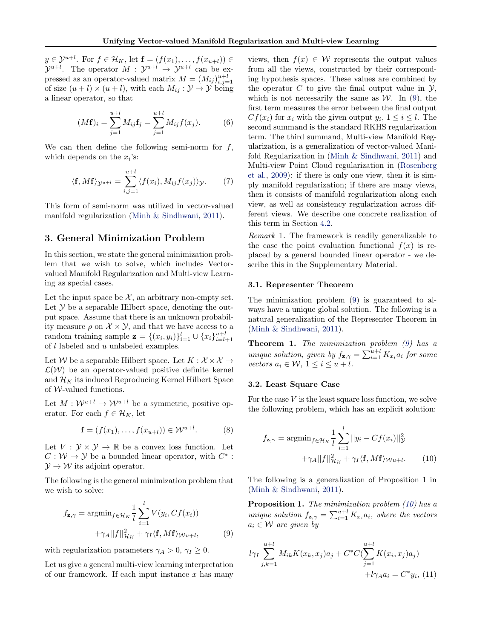<span id="page-2-0"></span> $y \in \mathcal{Y}^{u+l}$ . For  $f \in \mathcal{H}_K$ , let  $\mathbf{f} = (f(x_1), \dots, f(x_{u+l})) \in$  $\mathcal{Y}^{u+l}$ . The operator  $M: \mathcal{Y}^{u+l} \to \mathcal{Y}^{u+l}$  can be expressed as an operator-valued matrix  $M = (M_{ij})_{i,j=1}^{u+l}$ of size  $(u + l) \times (u + l)$ , with each  $M_{ij} : \mathcal{Y} \to \mathcal{Y}$  being a linear operator, so that

$$
(M\mathbf{f})_i = \sum_{j=1}^{u+l} M_{ij}\mathbf{f}_j = \sum_{j=1}^{u+l} M_{ij}f(x_j).
$$
 (6)

We can then define the following semi-norm for  $f$ , which depends on the  $x_i$ 's:

$$
\langle \mathbf{f}, M\mathbf{f} \rangle_{\mathcal{Y}^{u+l}} = \sum_{i,j=1}^{u+l} \langle f(x_i), M_{ij} f(x_j) \rangle_{\mathcal{Y}}.
$$
 (7)

This form of semi-norm was utilized in vector-valued manifold regularization [\(Minh & Sindhwani,](#page-8-0) [2011\)](#page-8-0).

## 3. General Minimization Problem

In this section, we state the general minimization problem that we wish to solve, which includes Vectorvalued Manifold Regularization and Multi-view Learning as special cases.

Let the input space be  $\mathcal{X}$ , an arbitrary non-empty set. Let  $\mathcal Y$  be a separable Hilbert space, denoting the output space. Assume that there is an unknown probability measure  $\rho$  on  $\mathcal{X} \times \mathcal{Y}$ , and that we have access to a random training sample  $\mathbf{z} = \{(x_i, y_i)\}_{i=1}^l \cup \{x_i\}_{i=l+1}^{u+l}$ of  $l$  labeled and  $u$  unlabeled examples.

Let W be a separable Hilbert space. Let  $K: \mathcal{X} \times \mathcal{X} \rightarrow$  $\mathcal{L}(\mathcal{W})$  be an operator-valued positive definite kernel and  $\mathcal{H}_K$  its induced Reproducing Kernel Hilbert Space of  $\mathcal W\text{-}\mathrm{valued}$  functions.

Let  $M: \mathcal{W}^{u+l} \to \mathcal{W}^{u+l}$  be a symmetric, positive operator. For each  $f \in \mathcal{H}_K$ , let

$$
\mathbf{f} = (f(x_1), \dots, f(x_{u+l})) \in \mathcal{W}^{u+l}.
$$
 (8)

Let  $V: \mathcal{Y} \times \mathcal{Y} \to \mathbb{R}$  be a convex loss function. Let  $C: \mathcal{W} \to \mathcal{Y}$  be a bounded linear operator, with  $C^*$ :  $\mathcal{Y} \rightarrow \mathcal{W}$  its adjoint operator.

The following is the general minimization problem that we wish to solve:

$$
f_{\mathbf{z},\gamma} = \operatorname{argmin}_{f \in \mathcal{H}_K} \frac{1}{l} \sum_{i=1}^l V(y_i, Cf(x_i)) + \gamma_A ||f||_{\mathcal{H}_K}^2 + \gamma_I \langle \mathbf{f}, M\mathbf{f} \rangle_{\mathcal{W}u + l}, \tag{9}
$$

with regularization parameters  $\gamma_A > 0$ ,  $\gamma_I \geq 0$ .

Let us give a general multi-view learning interpretation of our framework. If each input instance  $x$  has many

views, then  $f(x) \in W$  represents the output values from all the views, constructed by their corresponding hypothesis spaces. These values are combined by the operator  $C$  to give the final output value in  $\mathcal{Y},$ which is not necessarily the same as  $W$ . In (9), the first term measures the error between the final output  $Cf(x_i)$  for  $x_i$  with the given output  $y_i, 1 \leq i \leq l$ . The second summand is the standard RKHS regularization term. The third summand, Multi-view Manifold Regularization, is a generalization of vector-valued Manifold Regularization in [\(Minh & Sindhwani,](#page-8-0) [2011\)](#page-8-0) and Multi-view Point Cloud regularization in [\(Rosenberg](#page-8-0) [et al.,](#page-8-0) [2009\)](#page-8-0): if there is only one view, then it is simply manifold regularization; if there are many views, then it consists of manifold regularization along each view, as well as consistency regularization across different views. We describe one concrete realization of this term in Section [4.2.](#page-4-0)

Remark 1. The framework is readily generalizable to the case the point evaluation functional  $f(x)$  is replaced by a general bounded linear operator - we describe this in the Supplementary Material.

#### 3.1. Representer Theorem

The minimization problem (9) is guaranteed to always have a unique global solution. The following is a natural generalization of the Representer Theorem in [\(Minh & Sindhwani,](#page-8-0) [2011\)](#page-8-0).

**Theorem 1.** The minimization problem  $(9)$  has a unique solution, given by  $f_{\mathbf{z},\gamma} = \sum_{i=1}^{u+l} K_{x_i} a_i$  for some vectors  $a_i \in \mathcal{W}$ ,  $1 \leq i \leq u + l$ .

#### 3.2. Least Square Case

For the case  $V$  is the least square loss function, we solve the following problem, which has an explicit solution:

$$
f_{\mathbf{z},\gamma} = \operatorname{argmin}_{f \in \mathcal{H}_K} \frac{1}{l} \sum_{i=1}^l ||y_i - Cf(x_i)||_{\mathcal{Y}}^2 + \gamma_A ||f||_{\mathcal{H}_K}^2 + \gamma_I \langle \mathbf{f}, M\mathbf{f} \rangle_{\mathcal{W}u + l}.
$$
 (10)

The following is a generalization of Proposition 1 in [\(Minh & Sindhwani,](#page-8-0) [2011\)](#page-8-0).

**Proposition 1.** The minimization problem  $(10)$  has a unique solution  $f_{\mathbf{z},\gamma} = \sum_{i=1}^{u+l} K_{x_i} a_i$ , where the vectors  $a_i \in \mathcal{W}$  are given by

$$
l\gamma_I \sum_{j,k=1}^{u+l} M_{ik} K(x_k, x_j) a_j + C^* C (\sum_{j=1}^{u+l} K(x_i, x_j) a_j) + l\gamma_A a_i = C^* y_i, (11)
$$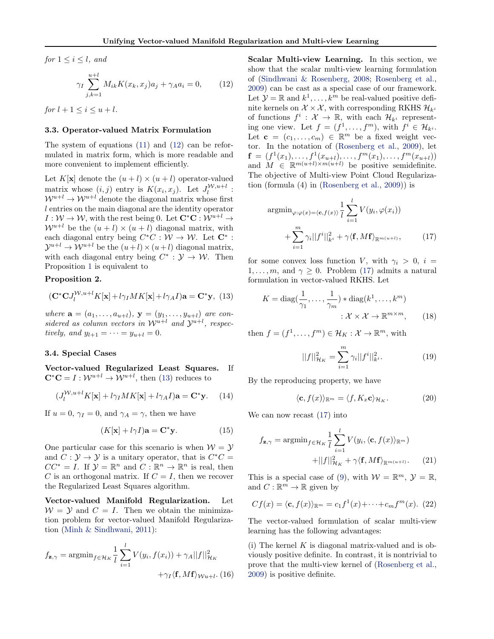<span id="page-3-0"></span>for  $1 \leq i \leq l$ , and

$$
\gamma_I \sum_{j,k=1}^{u+l} M_{ik} K(x_k, x_j) a_j + \gamma_A a_i = 0, \qquad (12)
$$

for  $l + 1 \leq i \leq u + l$ .

#### 3.3. Operator-valued Matrix Formulation

The system of equations [\(11\)](#page-2-0) and (12) can be reformulated in matrix form, which is more readable and more convenient to implement efficiently.

Let  $K[\mathbf{x}]$  denote the  $(u + l) \times (u + l)$  operator-valued matrix whose  $(i, j)$  entry is  $K(x_i, x_j)$ . Let  $J_l^{\mathcal{W},u+l}$ :  $\mathcal{W}^{u+l} \to \mathcal{W}^{u+l}$  denote the diagonal matrix whose first l entries on the main diagonal are the identity operator  $I: \mathcal{W} \to \mathcal{W}$ , with the rest being 0. Let  $\mathbf{C}^* \mathbf{C} : \mathcal{W}^{u+l} \to$  $\mathcal{W}^{u+l}$  be the  $(u + l) \times (u + l)$  diagonal matrix, with each diagonal entry being  $C^*C : \mathcal{W} \to \mathcal{W}$ . Let  $\mathbb{C}^*$ :  $\mathcal{Y}^{u+l} \to \mathcal{W}^{u+l}$  be the  $(u+l) \times (u+l)$  diagonal matrix, with each diagonal entry being  $C^* : \mathcal{Y} \to \mathcal{W}$ . Then Proposition [1](#page-2-0) is equivalent to

## Proposition 2.

$$
(\mathbf{C}^*\mathbf{C}J_l^{\mathcal{W},u+l}K[\mathbf{x}]+l\gamma_I MK[\mathbf{x}]+l\gamma_A I)\mathbf{a}=\mathbf{C}^*\mathbf{y},\tag{13}
$$

where  $\mathbf{a} = (a_1, ..., a_{u+l}), \mathbf{y} = (y_1, ..., y_{u+l})$  are considered as column vectors in  $\mathcal{W}^{u+l}$  and  $\mathcal{Y}^{u+l}$ , respectively, and  $y_{l+1} = \cdots = y_{u+l} = 0$ .

#### 3.4. Special Cases

Vector-valued Regularized Least Squares. If  $\mathbf{C}^*\mathbf{C} = I : \mathcal{W}^{u+l} \to \mathcal{W}^{u+l}$ , then (13) reduces to

$$
(J_l^{W,u+l}K[\mathbf{x}] + l\gamma_I MK[\mathbf{x}] + l\gamma_A I)\mathbf{a} = \mathbf{C}^* \mathbf{y}.
$$
 (14)

If  $u = 0$ ,  $\gamma_I = 0$ , and  $\gamma_A = \gamma$ , then we have

$$
(K[\mathbf{x}] + l\gamma I)\mathbf{a} = \mathbf{C}^*\mathbf{y}.\tag{15}
$$

One particular case for this scenario is when  $W = Y$ and  $C: \mathcal{Y} \to \mathcal{Y}$  is a unitary operator, that is  $C^*C =$  $CC^* = I$ . If  $\mathcal{Y} = \mathbb{R}^n$  and  $C : \mathbb{R}^n \to \mathbb{R}^n$  is real, then C is an orthogonal matrix. If  $C = I$ , then we recover the Regularized Least Squares algorithm.

Vector-valued Manifold Regularization. Let  $W = Y$  and  $C = I$ . Then we obtain the minimization problem for vector-valued Manifold Regularization [\(Minh & Sindhwani,](#page-8-0) [2011\)](#page-8-0):

$$
f_{\mathbf{z},\gamma} = \operatorname{argmin}_{f \in \mathcal{H}_K} \frac{1}{l} \sum_{i=1}^l V(y_i, f(x_i)) + \gamma_A ||f||_{\mathcal{H}_K}^2 + \gamma_I \langle \mathbf{f}, M\mathbf{f} \rangle_{\mathcal{W}^{u+l}}.
$$
(16)

Scalar Multi-view Learning. In this section, we show that the scalar multi-view learning formulation of [\(Sindhwani & Rosenberg,](#page-8-0) [2008;](#page-8-0) [Rosenberg et al.,](#page-8-0) [2009\)](#page-8-0) can be cast as a special case of our framework. Let  $\mathcal{Y} = \mathbb{R}$  and  $k^1, \ldots, k^m$  be real-valued positive definite kernels on  $\mathcal{X} \times \mathcal{X}$ , with corresponding RKHS  $\mathcal{H}_{k^i}$ of functions  $f^i: \mathcal{X} \to \mathbb{R}$ , with each  $\mathcal{H}_{k^i}$  representing one view. Let  $f = (f^1, \ldots, f^m)$ , with  $f^i \in \mathcal{H}_{k^i}$ . Let  $\mathbf{c} = (c_1, \ldots, c_m) \in \mathbb{R}^m$  be a fixed weight vector. In the notation of [\(Rosenberg et al.,](#page-8-0) [2009\)](#page-8-0), let  $\mathbf{f} = (f^1(x_1), \ldots, f^1(x_{u+l}), \ldots, f^m(x_1), \ldots, f^m(x_{u+l}))$ and  $M \in \mathbb{R}^{m(u+l)\times m(u+l)}$  be positive semidefinite. The objective of Multi-view Point Cloud Regularization (formula (4) in [\(Rosenberg et al.,](#page-8-0) [2009\)](#page-8-0)) is

$$
\operatorname{argmin}_{\varphi:\varphi(x)=\langle \mathbf{c}, f(x) \rangle} \frac{1}{l} \sum_{i=1}^{l} V(y_i, \varphi(x_i)) + \sum_{i=1}^{m} \gamma_i ||f^i||_{k^i}^2 + \gamma \langle \mathbf{f}, M\mathbf{f} \rangle_{\mathbb{R}^{m(u+l)}}, \tag{17}
$$

for some convex loss function V, with  $\gamma_i > 0$ ,  $i =$  $1, \ldots, m$ , and  $\gamma \geq 0$ . Problem (17) admits a natural formulation in vector-valued RKHS. Let

$$
K = \text{diag}(\frac{1}{\gamma_1}, \dots, \frac{1}{\gamma_m}) * \text{diag}(k^1, \dots, k^m)
$$

$$
: \mathcal{X} \times \mathcal{X} \to \mathbb{R}^{m \times m}, \qquad (18)
$$

then  $f = (f^1, \ldots, f^m) \in \mathcal{H}_K : \mathcal{X} \to \mathbb{R}^m$ , with

$$
||f||_{\mathcal{H}_K}^2 = \sum_{i=1}^m \gamma_i ||f^i||_{k^i}^2.
$$
 (19)

By the reproducing property, we have

$$
\langle \mathbf{c}, f(x) \rangle_{\mathbb{R}^m} = \langle f, K_x \mathbf{c} \rangle_{\mathcal{H}_K}.\tag{20}
$$

We can now recast (17) into

$$
f_{\mathbf{z},\gamma} = \operatorname{argmin}_{f \in \mathcal{H}_K} \frac{1}{l} \sum_{i=1}^l V(y_i, \langle \mathbf{c}, f(x) \rangle_{\mathbb{R}^m}) + ||f||_{\mathcal{H}_K}^2 + \gamma \langle \mathbf{f}, M\mathbf{f} \rangle_{\mathbb{R}^{m(u+l)}}.
$$
 (21)

This is a special case of [\(9\)](#page-2-0), with  $W = \mathbb{R}^m$ ,  $\mathcal{Y} = \mathbb{R}$ , and  $C: \mathbb{R}^m \to \mathbb{R}$  given by

$$
Cf(x) = \langle \mathbf{c}, f(x) \rangle_{\mathbb{R}^m} = c_1 f^1(x) + \dots + c_m f^m(x). \tag{22}
$$

The vector-valued formulation of scalar multi-view learning has the following advantages:

(i) The kernel  $K$  is diagonal matrix-valued and is obviously positive definite. In contrast, it is nontrivial to prove that the multi-view kernel of [\(Rosenberg et al.,](#page-8-0) [2009\)](#page-8-0) is positive definite.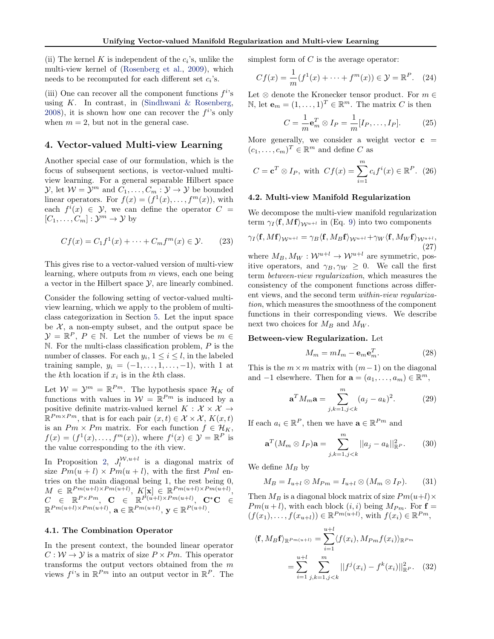<span id="page-4-0"></span>(ii) The kernel K is independent of the  $c_i$ 's, unlike the multi-view kernel of [\(Rosenberg et al.,](#page-8-0) [2009\)](#page-8-0), which needs to be recomputed for each different set  $c_i$ 's.

(iii) One can recover all the component functions  $f^{i}$ 's using  $K$ . In contrast, in [\(Sindhwani & Rosenberg,](#page-8-0) [2008\)](#page-8-0), it is shown how one can recover the  $f^{i}$ 's only when  $m = 2$ , but not in the general case.

## 4. Vector-valued Multi-view Learning

Another special case of our formulation, which is the focus of subsequent sections, is vector-valued multiview learning. For a general separable Hilbert space  $\mathcal{Y}$ , let  $\mathcal{W} = \mathcal{Y}^m$  and  $C_1, \ldots, C_m : \mathcal{Y} \to \mathcal{Y}$  be bounded linear operators. For  $f(x) = (f^1(x), \ldots, f^m(x))$ , with each  $f^i(x) \in \mathcal{Y}$ , we can define the operator  $C =$  $[C_1, \ldots, C_m] : \mathcal{Y}^m \to \mathcal{Y}$  by

$$
Cf(x) = C_1 f^1(x) + \dots + C_m f^m(x) \in \mathcal{Y}.
$$
 (23)

This gives rise to a vector-valued version of multi-view learning, where outputs from  $m$  views, each one being a vector in the Hilbert space  $\mathcal{Y}$ , are linearly combined.

Consider the following setting of vector-valued multiview learning, which we apply to the problem of multiclass categorization in Section [5.](#page-6-0) Let the input space be  $\mathcal{X}$ , a non-empty subset, and the output space be  $\mathcal{Y} = \mathbb{R}^P$ ,  $P \in \mathbb{N}$ . Let the number of views be  $m \in$  $\mathbb N$ . For the multi-class classification problem,  $P$  is the number of classes. For each  $y_i$ ,  $1 \le i \le l$ , in the labeled training sample,  $y_i = (-1, \ldots, 1, \ldots, -1)$ , with 1 at the k<sup>th</sup> location if  $x_i$  is in the k<sup>th</sup> class.

Let  $W = Y^m = \mathbb{R}^{Pm}$ . The hypothesis space  $\mathcal{H}_K$  of functions with values in  $W = \mathbb{R}^{Pm}$  is induced by a positive definite matrix-valued kernel  $K : \mathcal{X} \times \mathcal{X} \rightarrow$  $\mathbb{R}^{Pm\times Pm}$ , that is for each pair  $(x,t)\in\mathcal{X}\times\mathcal{X}$ ,  $K(x,t)$ is an  $Pm \times Pm$  matrix. For each function  $f \in \mathcal{H}_K$ ,  $f(x) = (f<sup>1</sup>(x), \ldots, f<sup>m</sup>(x)),$  where  $f<sup>i</sup>(x) \in \mathcal{Y} = \mathbb{R}^P$  is the value corresponding to the ith view.

In Proposition [2,](#page-3-0)  $J_l^{W,u+l}$  is a diagonal matrix of size  $Pm(u + l) \times Pm(u + l)$ , with the first  $Pml$  entries on the main diagonal being 1, the rest being 0,  $M \in \mathbb{R}^{Pm(u+l)\times Pm(u+l)}, K[\mathbf{x}] \in \mathbb{R}^{Pm(u+l)\times Pm(u+l)},$  $C$   $\in$   $\mathbb{R}^{P\times Pm}$ ,  $\mathbf{C}$   $\in$   $\mathbb{R}^{\tilde{P}(u+l)\times Pm(u+l)},$   $\mathbf{C}^*\mathbf{C}$   $\in$  $\mathbb{R}^{Pm(u+l)\times Pm(u+l)}, \mathbf{a} \in \mathbb{R}^{Pm(u+l)}, \mathbf{y} \in \mathbb{R}^{P(u+l)}.$ 

## 4.1. The Combination Operator

In the present context, the bounded linear operator  $C: \mathcal{W} \to \mathcal{Y}$  is a matrix of size  $P \times Pm$ . This operator transforms the output vectors obtained from the m views  $f^{i}$ 's in  $\mathbb{R}^{Pm}$  into an output vector in  $\mathbb{R}^{P}$ . The simplest form of  $C$  is the average operator:

$$
Cf(x) = \frac{1}{m}(f^{1}(x) + \dots + f^{m}(x)) \in \mathcal{Y} = \mathbb{R}^{P}. \quad (24)
$$

Let  $\otimes$  denote the Kronecker tensor product. For  $m \in$ N, let  $\mathbf{e}_m = (1, \ldots, 1)^T \in \mathbb{R}^m$ . The matrix C is then

$$
C = \frac{1}{m} \mathbf{e}_m^T \otimes I_P = \frac{1}{m} [I_P, \dots, I_P]. \tag{25}
$$

More generally, we consider a weight vector  $c =$  $(c_1, \ldots, c_m)^T \in \mathbb{R}^m$  and define C as

$$
C = \mathbf{c}^T \otimes I_P, \text{ with } Cf(x) = \sum_{i=1}^m c_i f^i(x) \in \mathbb{R}^P. \tag{26}
$$

#### 4.2. Multi-view Manifold Regularization

We decompose the multi-view manifold regularization term  $\gamma_I \langle f, Mf \rangle_{\mathcal{W}^{u+l}}$  in (Eq. [9\)](#page-2-0) into two components

$$
\gamma_I \langle \mathbf{f}, M\mathbf{f} \rangle_{\mathcal{W}^{u+l}} = \gamma_B \langle \mathbf{f}, M_B \mathbf{f} \rangle_{\mathcal{W}^{u+l}} + \gamma_W \langle \mathbf{f}, M_W \mathbf{f} \rangle_{\mathcal{W}^{u+l}},
$$
\n(27)

where  $M_B, M_W: \mathcal{W}^{u+l} \to \mathcal{W}^{u+l}$  are symmetric, positive operators, and  $\gamma_B, \gamma_W \geq 0$ . We call the first term between-view regularization, which measures the consistency of the component functions across different views, and the second term within-view regularization, which measures the smoothness of the component functions in their corresponding views. We describe next two choices for  $M_B$  and  $M_W$ .

#### Between-view Regularization. Let

$$
M_m = mI_m - \mathbf{e}_m \mathbf{e}_m^T. \tag{28}
$$

This is the  $m \times m$  matrix with  $(m-1)$  on the diagonal and  $-1$  elsewhere. Then for  $\mathbf{a} = (a_1, \ldots, a_m) \in \mathbb{R}^m$ ,

$$
\mathbf{a}^T M_m \mathbf{a} = \sum_{j,k=1,j (29)
$$

If each  $a_i \in \mathbb{R}^P$ , then we have  $\mathbf{a} \in \mathbb{R}^{Pm}$  and

$$
\mathbf{a}^{T}(M_{m} \otimes I_{P})\mathbf{a} = \sum_{j,k=1,j (30)
$$

We define  $M_B$  by

$$
M_B = I_{u+l} \otimes M_{Pm} = I_{u+l} \otimes (M_m \otimes I_P). \qquad (31)
$$

Then  $M_B$  is a diagonal block matrix of size  $Pm(u+l) \times$  $Pm(u+l)$ , with each block  $(i, i)$  being  $M_{Pm}$ . For  $f =$  $(f(x_1),..., f(x_{u+l})) \in \mathbb{R}^{Pm(u+l)},$  with  $f(x_i) \in \mathbb{R}^{Pm}$ ,

$$
\langle \mathbf{f}, M_B \mathbf{f} \rangle_{\mathbb{R}^{Pm(u+l)}} = \sum_{i=1}^{u+l} \langle f(x_i), M_{Pm} f(x_i) \rangle_{\mathbb{R}^{Pm}}
$$

$$
= \sum_{i=1}^{u+l} \sum_{j,k=1, j < k}^{m} ||f^j(x_i) - f^k(x_i)||_{\mathbb{R}^P}^2. \tag{32}
$$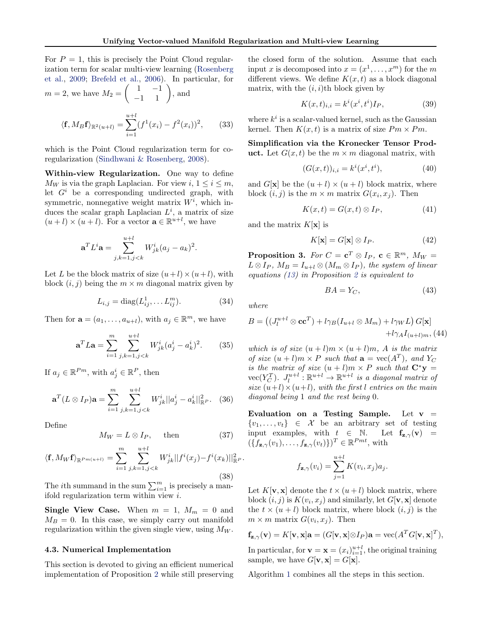<span id="page-5-0"></span>For  $P = 1$ , this is precisely the Point Cloud regularization term for scalar multi-view learning [\(Rosenberg](#page-8-0) [et al.,](#page-8-0) [2009;](#page-8-0) [Brefeld et al.,](#page-8-0) [2006\)](#page-8-0). In particular, for  $m = 2$ , we have  $M_2 = \begin{pmatrix} 1 & -1 \\ -1 & 1 \end{pmatrix}$ , and

$$
\langle \mathbf{f}, M_B \mathbf{f} \rangle_{\mathbb{R}^2(u+l)} = \sum_{i=1}^{u+l} (f^1(x_i) - f^2(x_i))^2, \qquad (33)
$$

which is the Point Cloud regularization term for coregularization [\(Sindhwani & Rosenberg,](#page-8-0) [2008\)](#page-8-0).

Within-view Regularization. One way to define  $M_W$  is via the graph Laplacian. For view i,  $1 \le i \le m$ , let  $G<sup>i</sup>$  be a corresponding undirected graph, with symmetric, nonnegative weight matrix  $W^i$ , which induces the scalar graph Laplacian  $L^i$ , a matrix of size  $(u+l)\times (u+l)$ . For a vector  $\mathbf{a}\in \mathbb{R}^{u+l}$ , we have

$$
\mathbf{a}^T L^i \mathbf{a} = \sum_{j,k=1,j
$$

Let L be the block matrix of size  $(u+l)\times(u+l)$ , with block  $(i, j)$  being the  $m \times m$  diagonal matrix given by

$$
L_{i,j} = \text{diag}(L_{ij}^1, \dots L_{ij}^m). \tag{34}
$$

Then for  $\mathbf{a} = (a_1, \dots, a_{u+l})$ , with  $a_j \in \mathbb{R}^m$ , we have

$$
\mathbf{a}^T L \mathbf{a} = \sum_{i=1}^m \sum_{j,k=1,j (35)
$$

If  $a_j \in \mathbb{R}^{Pm}$ , with  $a_j^i \in \mathbb{R}^P$ , then

$$
\mathbf{a}^T (L \otimes I_P) \mathbf{a} = \sum_{i=1}^m \sum_{j,k=1,j (36)
$$

Define

$$
M_W = L \otimes I_P, \quad \text{then} \tag{37}
$$

$$
\langle \mathbf{f}, M_W \mathbf{f} \rangle_{\mathbb{R}^{Pm(u+l)}} = \sum_{i=1}^m \sum_{j,k=1,j < k}^{u+l} W_{jk}^i ||f^i(x_j) - f^i(x_k)||_{\mathbb{R}^P}^2.
$$
\n(38)

The *i*th summand in the sum  $\sum_{i=1}^{m}$  is precisely a manifold regularization term within view i.

**Single View Case.** When  $m = 1$ ,  $M_m = 0$  and  $M_B = 0$ . In this case, we simply carry out manifold regularization within the given single view, using  $M_W$ .

## 4.3. Numerical Implementation

This section is devoted to giving an efficient numerical implementation of Proposition [2](#page-3-0) while still preserving

the closed form of the solution. Assume that each input x is decomposed into  $x = (x^1, \dots, x^m)$  for the m different views. We define  $K(x, t)$  as a block diagonal matrix, with the  $(i, i)$ th block given by

$$
K(x,t)_{i,i} = k^i(x^i, t^i)I_P,\t\t(39)
$$

where  $k^i$  is a scalar-valued kernel, such as the Gaussian kernel. Then  $K(x, t)$  is a matrix of size  $Pm \times Pm$ .

Simplification via the Kronecker Tensor Product. Let  $G(x, t)$  be the  $m \times m$  diagonal matrix, with

$$
(G(x,t))_{i,i} = k^i(x^i, t^i),
$$
\n(40)

and  $G[\mathbf{x}]$  be the  $(u + l) \times (u + l)$  block matrix, where block  $(i, j)$  is the  $m \times m$  matrix  $G(x_i, x_j)$ . Then

$$
K(x,t) = G(x,t) \otimes I_P,\tag{41}
$$

and the matrix  $K[\mathbf{x}]$  is

$$
K[\mathbf{x}] = G[\mathbf{x}] \otimes I_P. \tag{42}
$$

**Proposition 3.** For  $C = \mathbf{c}^T \otimes I_P$ ,  $\mathbf{c} \in \mathbb{R}^m$ ,  $M_W =$  $L \otimes I_P$ ,  $M_B = I_{u+l} \otimes (M_m \otimes I_P)$ , the system of linear equations [\(13\)](#page-3-0) in Proposition [2](#page-3-0) is equivalent to

$$
BA = Y_C,\tag{43}
$$

where

$$
B = ((J_l^{u+l} \otimes \mathbf{cc}^T) + l\gamma_B (I_{u+l} \otimes M_m) + l\gamma_W L) G[\mathbf{x}]
$$
  
+  $l\gamma_A I_{(u+l)m}, (44)$ 

which is of size  $(u + l)m \times (u + l)m$ , A is the matrix of size  $(u + l)m \times P$  such that  $\mathbf{a} = \text{vec}(A^T)$ , and  $Y_C$ is the matrix of size  $(u + l)m \times P$  such that  $C^*y =$  $\mathrm{vec}(Y_C^T)$ .  $J_l^{u+l} : \mathbb{R}^{u+l} \to \mathbb{R}^{u+l}$  is a diagonal matrix of size  $(u+l)\times(u+l)$ , with the first l entries on the main diagonal being 1 and the rest being 0.

Evaluation on a Testing Sample. Let  $v =$  $\{v_1, \ldots, v_t\} \in \mathcal{X}$  be an arbitrary set of testing input examples, with  $t \in \mathbb{N}$ . Let  $f_{z,\gamma}(v) =$  $(\{f_{\mathbf{z},\gamma}(v_1),\ldots,f_{\mathbf{z},\gamma}(v_t)\})^T \in \mathbb{R}^{Pmt}$ , with

$$
f_{\mathbf{z},\gamma}(v_i) = \sum_{j=1}^{u+l} K(v_i, x_j) a_j.
$$

Let  $K[\mathbf{v}, \mathbf{x}]$  denote the  $t \times (u + l)$  block matrix, where block  $(i, j)$  is  $K(v_i, x_j)$  and similarly, let  $G[\mathbf{v}, \mathbf{x}]$  denote the  $t \times (u + l)$  block matrix, where block  $(i, j)$  is the  $m \times m$  matrix  $G(v_i, x_j)$ . Then

$$
\mathbf{f}_{\mathbf{z},\gamma}(\mathbf{v}) = K[\mathbf{v},\mathbf{x}]\mathbf{a} = (G[\mathbf{v},\mathbf{x}]\otimes I_P)\mathbf{a} = \text{vec}(A^T G[\mathbf{v},\mathbf{x}]^T),
$$

In particular, for  $\mathbf{v} = \mathbf{x} = (x_i)_{i=1}^{u+l}$ , the original training sample, we have  $G[\mathbf{v}, \mathbf{x}] = G[\mathbf{x}].$ 

Algorithm [1](#page-6-0) combines all the steps in this section.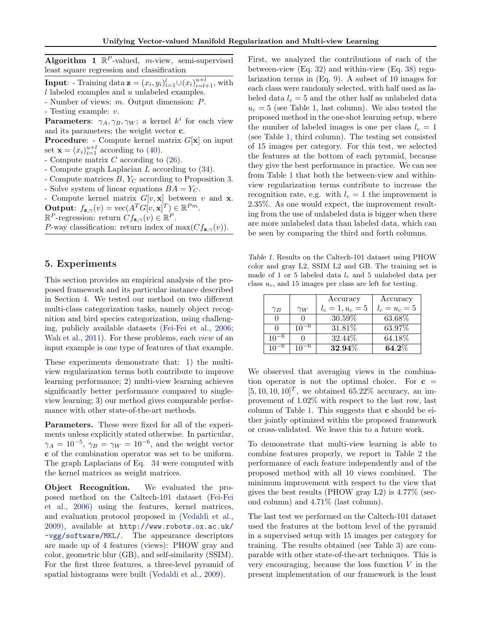<span id="page-6-0"></span>Algorithm 1  $\mathbb{R}^P$ -valued, *m*-view, semi-supervised least square regression and classification

**Input:** - Training data  $\mathbf{z} = (x_i, y_i)_{i=1}^l \cup (x_i)_{i=l+1}^{u+l}$ , with  $l$  labeled examples and  $u$  unlabeled examples.

- Number of views: m. Output dimension: P.

- Testing example: v.

**Parameters:**  $\gamma_A, \gamma_B, \gamma_W$ ; a kernel  $k^i$  for each view and its parameters; the weight vector c.

**Procedure:** - Compute kernel matrix  $G[\mathbf{x}]$  on input set  $\mathbf{x} = (x_i)_{i=1}^{u+l}$  according to [\(40\)](#page-5-0).

- Compute matrix  $C$  according to  $(26)$ .
- Compute graph Laplacian L according to [\(34\)](#page-5-0).
- Compute matrices  $B, Y_C$  according to Proposition [3.](#page-5-0)
- Solve system of linear equations  $BA = Y_C$ .

- Compute kernel matrix  $G[v, \mathbf{x}]$  between v and **x**. **Output:**  $f_{\mathbf{z},\gamma}(v) = \text{vec}(A^T G[v,\mathbf{x}]^T) \in \mathbb{R}^{Pm}$ .

 $\mathbb{R}^P$ -regression: return  $Cf_{\mathbf{z},\gamma}(v) \in \mathbb{R}^P$ .

P-way classification: return index of max $(Cf_{\mathbf{z},\gamma}(v))$ .

# 5. Experiments

This section provides an empirical analysis of the proposed framework and its particular instance described in Section [4.](#page-4-0) We tested our method on two different multi-class categorization tasks, namely object recognition and bird species categorization, using challenging, publicly available datasets [\(Fei-Fei et al.,](#page-8-0) [2006;](#page-8-0) [Wah et al.,](#page-8-0) [2011\)](#page-8-0). For these problems, each *view* of an input example is one type of features of that example.

These experiments demonstrate that: 1) the multiview regularization terms both contribute to improve learning performance; 2) multi-view learning achieves significantly better performance compared to singleview learning; 3) our method gives comparable performance with other state-of-the-art methods.

Parameters. These were fixed for all of the experiments unless explicitly stated otherwise. In particular,  $\gamma_A = 10^{-5}$ ,  $\gamma_B = \gamma_W = 10^{-6}$ , and the weight vector c of the combination operator was set to be uniform. The graph Laplacians of Eq. [34](#page-5-0) were computed with the kernel matrices as weight matrices.

Object Recognition. We evaluated the proposed method on the Caltech-101 dataset [\(Fei-Fei](#page-8-0) [et al.,](#page-8-0) [2006\)](#page-8-0) using the features, kernel matrices, and evaluation protocol proposed in [\(Vedaldi et al.,](#page-8-0) [2009\)](#page-8-0), available at [http://www.robots.ox.ac.uk/](http://www.robots.ox.ac.uk/~vgg/software/MKL/) [~vgg/software/MKL/](http://www.robots.ox.ac.uk/~vgg/software/MKL/). The appearance descriptors are made up of 4 features (views): PHOW gray and color, geometric blur (GB), and self-similarity (SSIM). For the first three features, a three-level pyramid of spatial histograms were built [\(Vedaldi et al.,](#page-8-0) [2009\)](#page-8-0).

First, we analyzed the contributions of each of the between-view (Eq. [32\)](#page-4-0) and within-view (Eq. [38\)](#page-5-0) regularization terms in (Eq. [9\)](#page-2-0). A subset of 10 images for each class were randomly selected, with half used as labeled data  $l_c = 5$  and the other half as unlabeled data  $u_c = 5$  (see Table 1, last column). We also tested the proposed method in the one-shot learning setup, where the number of labeled images is one per class  $l_c = 1$ (see Table 1, third column). The testing set consisted of 15 images per category. For this test, we selected the features at the bottom of each pyramid, because they give the best performance in practice. We can see from Table 1 that both the between-view and withinview regularization terms contribute to increase the recognition rate, e.g. with  $l_c = 1$  the improvement is 2.35%. As one would expect, the improvement resulting from the use of unlabeled data is bigger when there are more unlabeled data than labeled data, which can be seen by comparing the third and forth columns.

Table 1. Results on the Caltech-101 dataset using PHOW color and gray L2, SSIM L2 and GB. The training set is made of 1 or 5 labeled data  $l_c$  and 5 unlabeled data per class  $u_c$ , and 15 images per class are left for testing.

|    |            | Accuracy           | Accuracy        |
|----|------------|--------------------|-----------------|
| YΒ | $\gamma_W$ | $l_c = 1, u_c = 5$ | $l_c = u_c = 5$ |
|    |            | 30.59%             | 63.68%          |
|    |            | 31.81\%            | 63.97%          |
|    |            | 32.44\%            | 64.18%          |
|    |            | $32.94\%$          | $64.2\%$        |

We observed that averaging views in the combination operator is not the optimal choice. For  $c =$  $[5, 10, 10, 10]^T$ , we obtained 65.22% accuracy, an improvement of 1.02% with respect to the last row, last column of Table 1. This suggests that c should be either jointly optimized within the proposed framework or cross-validated. We leave this to a future work.

To demonstrate that multi-view learning is able to combine features properly, we report in Table [2](#page-7-0) the performance of each feature independently and of the proposed method with all 10 views combined. The minimum improvement with respect to the view that gives the best results (PHOW gray L2) is 4.77% (second column) and 4.71% (last column).

The last test we performed on the Caltech-101 dataset used the features at the bottom level of the pyramid in a supervised setup with 15 images per category for training. The results obtained (see Table [3\)](#page-7-0) are comparable with other state-of-the-art techniques. This is very encouraging, because the loss function  $V$  in the present implementation of our framework is the least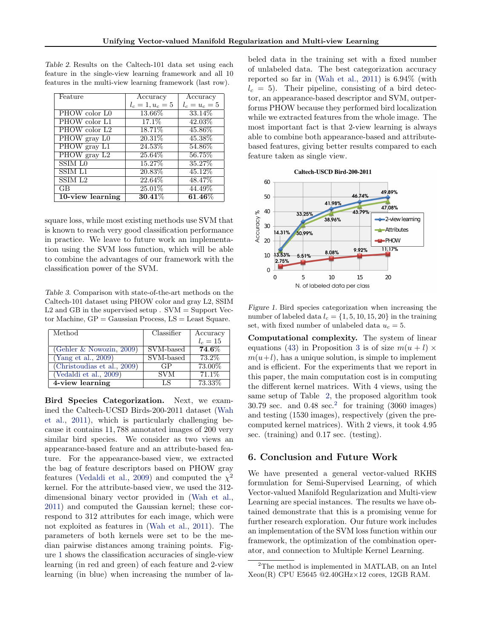| Feature                   | Accuracy           | Accuracy        |
|---------------------------|--------------------|-----------------|
|                           | $l_c = 1, u_c = 5$ | $l_c = u_c = 5$ |
| PHOW color LO             | 13.66%             | 33.14\%         |
| PHOW color L1             | $17.1\%$           | 42.03%          |
| PHOW color L <sub>2</sub> | 18.71\%            | 45.86%          |
| PHOW gray L0              | $20.31\%$          | 45.38%          |
| PHOW gray L1              | 24.53%             | 54.86%          |
| PHOW gray L2              | 25.64%             | 56.75%          |
| SSIML0                    | 15.27%             | 35.27%          |
| <b>SSIM L1</b>            | 20.83%             | 45.12%          |
| SSIM L <sub>2</sub>       | 22.64%             | 48.47%          |
| GB                        | 25.01%             | 44.49%          |
| 10-view learning          | $30.41\%$          | $\pmb{61.46\%}$ |

<span id="page-7-0"></span>Table 2. Results on the Caltech-101 data set using each feature in the single-view learning framework and all 10 features in the multi-view learning framework (last row).

square loss, while most existing methods use SVM that is known to reach very good classification performance in practice. We leave to future work an implementation using the SVM loss function, which will be able to combine the advantages of our framework with the classification power of the SVM.

Table 3. Comparison with state-of-the-art methods on the Caltech-101 dataset using PHOW color and gray L2, SSIM  $L2$  and GB in the supervised setup . SVM = Support Vector Machine,  $GP = Gaussian$  Process,  $LS = Least$  Square.

| Method                      | Classifier | Accuracy   |
|-----------------------------|------------|------------|
|                             |            | $l_c = 15$ |
| (Gehler $\&$ Nowozin, 2009) | SVM-based  | $74.6\%$   |
| (Yang et al., 2009)         | SVM-based  | 73.2%      |
| (Christoudias et al., 2009) | GP         | 73.00%     |
| (Vedaldi et al., $2009$ )   | <b>SVM</b> | 71.1\%     |
| 4-view learning             | LS         | 73.33%     |

Bird Species Categorization. Next, we examined the Caltech-UCSD Birds-200-2011 dataset [\(Wah](#page-8-0) [et al.,](#page-8-0) [2011\)](#page-8-0), which is particularly challenging because it contains 11, 788 annotated images of 200 very similar bird species. We consider as two views an appearance-based feature and an attribute-based feature. For the appearance-based view, we extracted the bag of feature descriptors based on PHOW gray features [\(Vedaldi et al.,](#page-8-0) [2009\)](#page-8-0) and computed the  $\chi^2$ kernel. For the attribute-based view, we used the 312 dimensional binary vector provided in [\(Wah et al.,](#page-8-0) [2011\)](#page-8-0) and computed the Gaussian kernel; these correspond to 312 attributes for each image, which were not exploited as features in [\(Wah et al.,](#page-8-0) [2011\)](#page-8-0). The parameters of both kernels were set to be the median pairwise distances among training points. Figure 1 shows the classification accuracies of single-view learning (in red and green) of each feature and 2-view learning (in blue) when increasing the number of la-

beled data in the training set with a fixed number of unlabeled data. The best categorization accuracy reported so far in [\(Wah et al.,](#page-8-0) [2011\)](#page-8-0) is 6.94% (with  $l_c = 5$ ). Their pipeline, consisting of a bird detector, an appearance-based descriptor and SVM, outperforms PHOW because they performed bird localization while we extracted features from the whole image. The most important fact is that 2-view learning is always able to combine both appearance-based and attributebased features, giving better results compared to each feature taken as single view.



Figure 1. Bird species categorization when increasing the number of labeled data  $l_c = \{1, 5, 10, 15, 20\}$  in the training set, with fixed number of unlabeled data  $u_c = 5$ .

Computational complexity. The system of linear equations [\(43\)](#page-5-0) in Proposition [3](#page-5-0) is of size  $m(u + l) \times$  $m(u+l)$ , has a unique solution, is simple to implement and is efficient. For the experiments that we report in this paper, the main computation cost is in computing the different kernel matrices. With 4 views, using the same setup of Table 2, the proposed algorithm took  $30.79$  sec. and  $0.48$  sec.<sup>2</sup> for training  $(3060 \text{ images})$ and testing (1530 images), respectively (given the precomputed kernel matrices). With 2 views, it took 4.95 sec. (training) and 0.17 sec. (testing).

# 6. Conclusion and Future Work

We have presented a general vector-valued RKHS formulation for Semi-Supervised Learning, of which Vector-valued Manifold Regularization and Multi-view Learning are special instances. The results we have obtained demonstrate that this is a promising venue for further research exploration. Our future work includes an implementation of the SVM loss function within our framework, the optimization of the combination operator, and connection to Multiple Kernel Learning.

<sup>2</sup>The method is implemented in MATLAB, on an Intel Xeon(R) CPU E5645 @2.40GHz×12 cores, 12GB RAM.